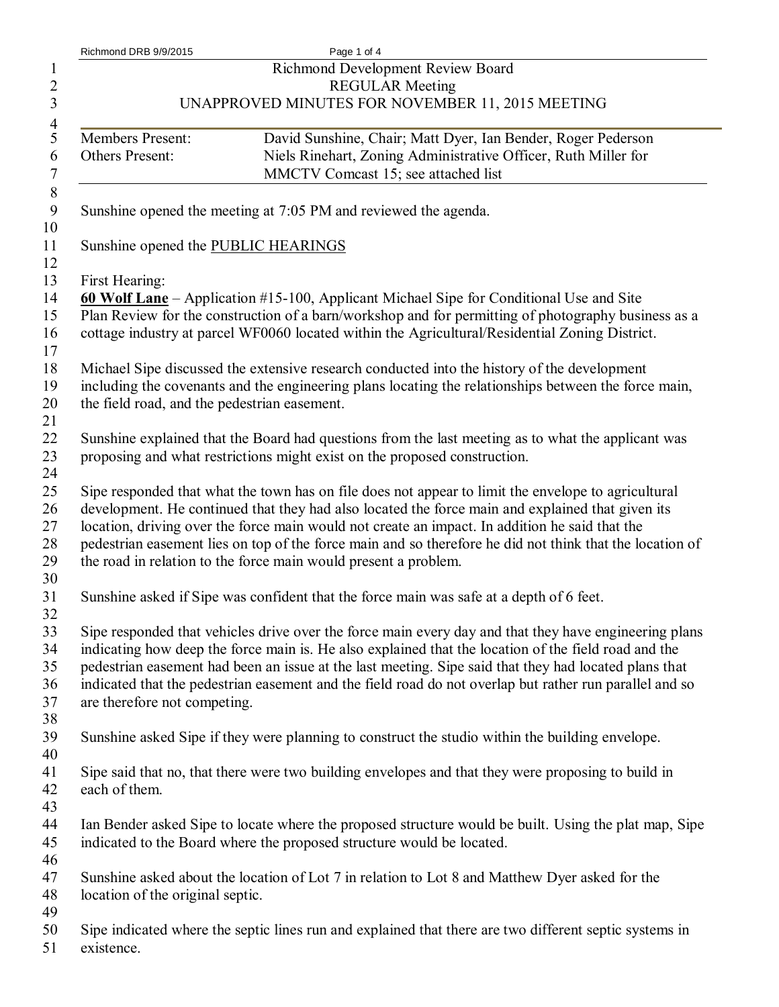| Richmond DRB 9/9/2015                        | Page 1 of 4                                                                                                                                                                                           |
|----------------------------------------------|-------------------------------------------------------------------------------------------------------------------------------------------------------------------------------------------------------|
|                                              | Richmond Development Review Board                                                                                                                                                                     |
|                                              | <b>REGULAR Meeting</b>                                                                                                                                                                                |
|                                              | UNAPPROVED MINUTES FOR NOVEMBER 11, 2015 MEETING                                                                                                                                                      |
|                                              |                                                                                                                                                                                                       |
| Members Present:                             | David Sunshine, Chair; Matt Dyer, Ian Bender, Roger Pederson                                                                                                                                          |
| Others Present:                              | Niels Rinehart, Zoning Administrative Officer, Ruth Miller for                                                                                                                                        |
|                                              | MMCTV Comcast 15; see attached list                                                                                                                                                                   |
|                                              | Sunshine opened the meeting at 7:05 PM and reviewed the agenda.                                                                                                                                       |
| Sunshine opened the PUBLIC HEARINGS          |                                                                                                                                                                                                       |
| First Hearing:                               |                                                                                                                                                                                                       |
|                                              | 60 Wolf Lane – Application #15-100, Applicant Michael Sipe for Conditional Use and Site                                                                                                               |
|                                              | Plan Review for the construction of a barn/workshop and for permitting of photography business as a<br>cottage industry at parcel WF0060 located within the Agricultural/Residential Zoning District. |
|                                              | Michael Sipe discussed the extensive research conducted into the history of the development                                                                                                           |
|                                              | including the covenants and the engineering plans locating the relationships between the force main,                                                                                                  |
| the field road, and the pedestrian easement. |                                                                                                                                                                                                       |
|                                              |                                                                                                                                                                                                       |
|                                              | Sunshine explained that the Board had questions from the last meeting as to what the applicant was                                                                                                    |
|                                              | proposing and what restrictions might exist on the proposed construction.                                                                                                                             |
|                                              |                                                                                                                                                                                                       |
|                                              | Sipe responded that what the town has on file does not appear to limit the envelope to agricultural                                                                                                   |
|                                              | development. He continued that they had also located the force main and explained that given its                                                                                                      |
|                                              | location, driving over the force main would not create an impact. In addition he said that the                                                                                                        |
|                                              | pedestrian easement lies on top of the force main and so therefore he did not think that the location of                                                                                              |
|                                              | the road in relation to the force main would present a problem.                                                                                                                                       |
|                                              |                                                                                                                                                                                                       |
|                                              | Sunshine asked if Sipe was confident that the force main was safe at a depth of 6 feet.                                                                                                               |
|                                              | Sipe responded that vehicles drive over the force main every day and that they have engineering plans                                                                                                 |
|                                              | indicating how deep the force main is. He also explained that the location of the field road and the                                                                                                  |
|                                              | pedestrian easement had been an issue at the last meeting. Sipe said that they had located plans that                                                                                                 |
|                                              | indicated that the pedestrian easement and the field road do not overlap but rather run parallel and so                                                                                               |
| are therefore not competing.                 |                                                                                                                                                                                                       |
|                                              |                                                                                                                                                                                                       |
|                                              | Sunshine asked Sipe if they were planning to construct the studio within the building envelope.                                                                                                       |
|                                              |                                                                                                                                                                                                       |
|                                              | Sipe said that no, that there were two building envelopes and that they were proposing to build in                                                                                                    |
| each of them.                                |                                                                                                                                                                                                       |
|                                              |                                                                                                                                                                                                       |
|                                              | Ian Bender asked Sipe to locate where the proposed structure would be built. Using the plat map, Sipe                                                                                                 |
|                                              | indicated to the Board where the proposed structure would be located.                                                                                                                                 |
|                                              |                                                                                                                                                                                                       |
|                                              | Sunshine asked about the location of Lot 7 in relation to Lot 8 and Matthew Dyer asked for the                                                                                                        |
| location of the original septic.             |                                                                                                                                                                                                       |
|                                              |                                                                                                                                                                                                       |
|                                              | Sipe indicated where the septic lines run and explained that there are two different septic systems in                                                                                                |
| existence.                                   |                                                                                                                                                                                                       |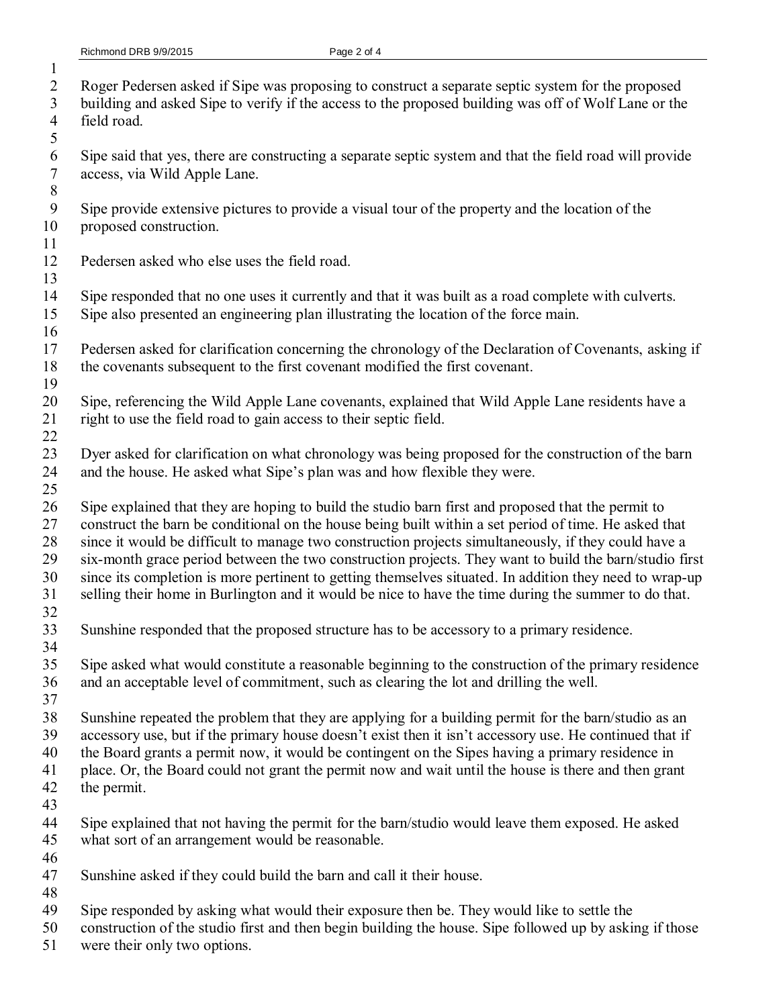- Roger Pedersen asked if Sipe was proposing to construct a separate septic system for the proposed
- building and asked Sipe to verify if the access to the proposed building was off of Wolf Lane or the field road.
- Sipe said that yes, there are constructing a separate septic system and that the field road will provide access, via Wild Apple Lane.
- Sipe provide extensive pictures to provide a visual tour of the property and the location of the proposed construction.
- 

- Pedersen asked who else uses the field road.
- Sipe responded that no one uses it currently and that it was built as a road complete with culverts. Sipe also presented an engineering plan illustrating the location of the force main.
- Pedersen asked for clarification concerning the chronology of the Declaration of Covenants, asking if the covenants subsequent to the first covenant modified the first covenant.
- Sipe, referencing the Wild Apple Lane covenants, explained that Wild Apple Lane residents have a right to use the field road to gain access to their septic field.
- Dyer asked for clarification on what chronology was being proposed for the construction of the barn 24 and the house. He asked what Sipe's plan was and how flexible they were.
- Sipe explained that they are hoping to build the studio barn first and proposed that the permit to construct the barn be conditional on the house being built within a set period of time. He asked that since it would be difficult to manage two construction projects simultaneously, if they could have a six-month grace period between the two construction projects. They want to build the barn/studio first since its completion is more pertinent to getting themselves situated. In addition they need to wrap-up selling their home in Burlington and it would be nice to have the time during the summer to do that.
- 
- Sunshine responded that the proposed structure has to be accessory to a primary residence.
- Sipe asked what would constitute a reasonable beginning to the construction of the primary residence and an acceptable level of commitment, such as clearing the lot and drilling the well.
- Sunshine repeated the problem that they are applying for a building permit for the barn/studio as an accessory use, but if the primary house doesn't exist then it isn't accessory use. He continued that if
- the Board grants a permit now, it would be contingent on the Sipes having a primary residence in place. Or, the Board could not grant the permit now and wait until the house is there and then grant
- the permit.
	-
	- Sipe explained that not having the permit for the barn/studio would leave them exposed. He asked what sort of an arrangement would be reasonable.
	- Sunshine asked if they could build the barn and call it their house.
	-
	- Sipe responded by asking what would their exposure then be. They would like to settle the
	- construction of the studio first and then begin building the house. Sipe followed up by asking if those
	- were their only two options.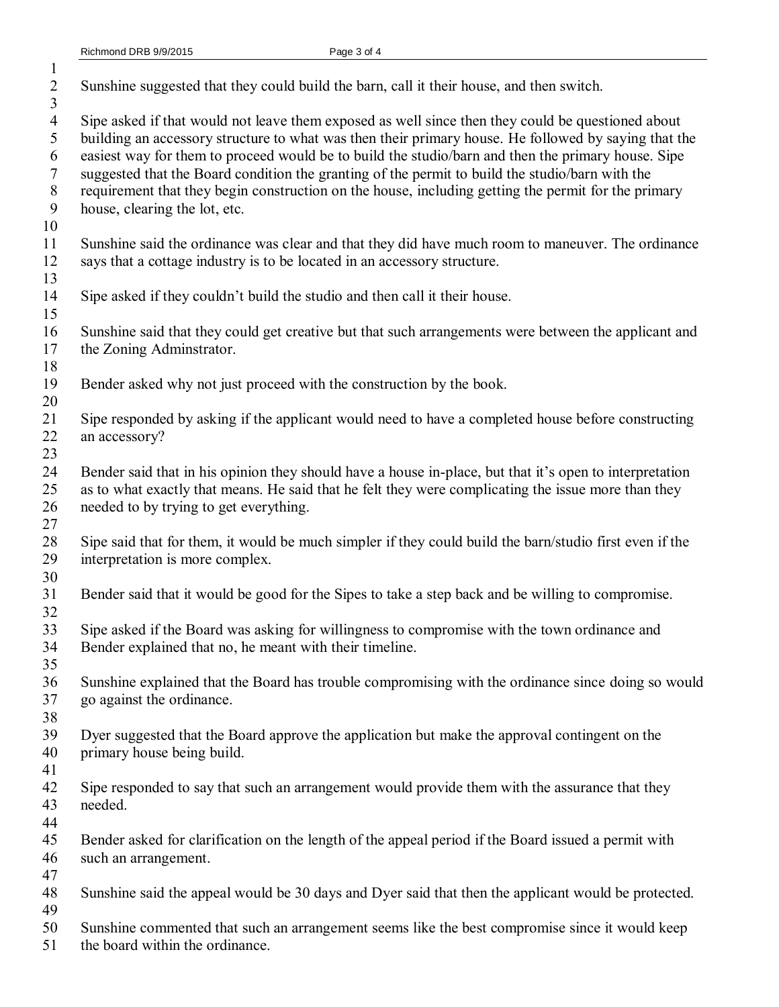| $\overline{2}$<br>3                                    | Sunshine suggested that they could build the barn, call it their house, and then switch.                                                                                                                                                                                                                                                                                                                                                                                                                                                                   |
|--------------------------------------------------------|------------------------------------------------------------------------------------------------------------------------------------------------------------------------------------------------------------------------------------------------------------------------------------------------------------------------------------------------------------------------------------------------------------------------------------------------------------------------------------------------------------------------------------------------------------|
| $\overline{4}$<br>5<br>6<br>$\tau$<br>$8\,$<br>9<br>10 | Sipe asked if that would not leave them exposed as well since then they could be questioned about<br>building an accessory structure to what was then their primary house. He followed by saying that the<br>easiest way for them to proceed would be to build the studio/barn and then the primary house. Sipe<br>suggested that the Board condition the granting of the permit to build the studio/barn with the<br>requirement that they begin construction on the house, including getting the permit for the primary<br>house, clearing the lot, etc. |
| 11<br>12                                               | Sunshine said the ordinance was clear and that they did have much room to maneuver. The ordinance<br>says that a cottage industry is to be located in an accessory structure.                                                                                                                                                                                                                                                                                                                                                                              |
| 13<br>14<br>15                                         | Sipe asked if they couldn't build the studio and then call it their house.                                                                                                                                                                                                                                                                                                                                                                                                                                                                                 |
| 16<br>17<br>18                                         | Sunshine said that they could get creative but that such arrangements were between the applicant and<br>the Zoning Adminstrator.                                                                                                                                                                                                                                                                                                                                                                                                                           |
| 19<br>20                                               | Bender asked why not just proceed with the construction by the book.                                                                                                                                                                                                                                                                                                                                                                                                                                                                                       |
| 21<br>22<br>23                                         | Sipe responded by asking if the applicant would need to have a completed house before constructing<br>an accessory?                                                                                                                                                                                                                                                                                                                                                                                                                                        |
| 24<br>25<br>26<br>27                                   | Bender said that in his opinion they should have a house in-place, but that it's open to interpretation<br>as to what exactly that means. He said that he felt they were complicating the issue more than they<br>needed to by trying to get everything.                                                                                                                                                                                                                                                                                                   |
| 28<br>29                                               | Sipe said that for them, it would be much simpler if they could build the barn/studio first even if the<br>interpretation is more complex.                                                                                                                                                                                                                                                                                                                                                                                                                 |
| 30<br>31<br>32                                         | Bender said that it would be good for the Sipes to take a step back and be willing to compromise.                                                                                                                                                                                                                                                                                                                                                                                                                                                          |
| 33<br>34<br>35                                         | Sipe asked if the Board was asking for willingness to compromise with the town ordinance and<br>Bender explained that no, he meant with their timeline.                                                                                                                                                                                                                                                                                                                                                                                                    |
| 36<br>37<br>38                                         | Sunshine explained that the Board has trouble compromising with the ordinance since doing so would<br>go against the ordinance.                                                                                                                                                                                                                                                                                                                                                                                                                            |
| 39<br>40<br>41                                         | Dyer suggested that the Board approve the application but make the approval contingent on the<br>primary house being build.                                                                                                                                                                                                                                                                                                                                                                                                                                |
| 42<br>43<br>44                                         | Sipe responded to say that such an arrangement would provide them with the assurance that they<br>needed.                                                                                                                                                                                                                                                                                                                                                                                                                                                  |
| 45<br>46<br>47                                         | Bender asked for clarification on the length of the appeal period if the Board issued a permit with<br>such an arrangement.                                                                                                                                                                                                                                                                                                                                                                                                                                |
| 48<br>49                                               | Sunshine said the appeal would be 30 days and Dyer said that then the applicant would be protected.                                                                                                                                                                                                                                                                                                                                                                                                                                                        |
| 50<br>51                                               | Sunshine commented that such an arrangement seems like the best compromise since it would keep<br>the board within the ordinance.                                                                                                                                                                                                                                                                                                                                                                                                                          |